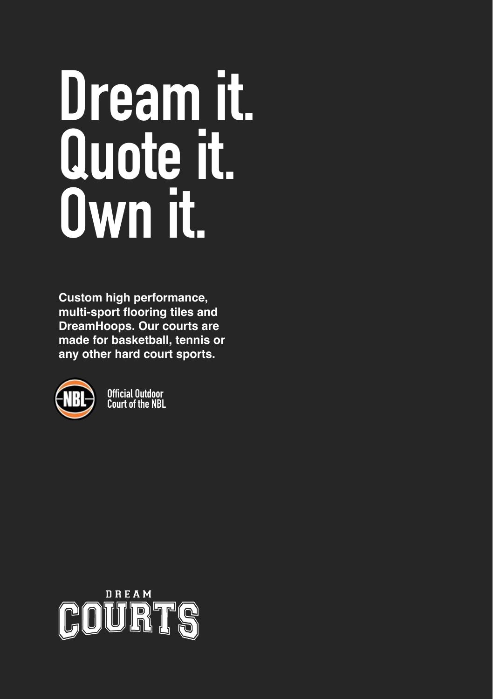# **Dream it. Quote it. Own it.**

**Custom high performance, multi-sport flooring tiles and DreamHoops. Our courts are made for basketball, tennis or any other hard court sports.** 



**Official Outdoor Court of the NBL**

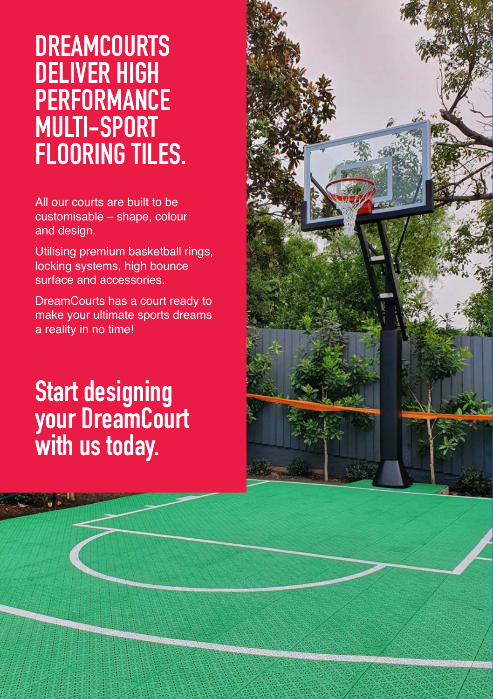### **DREAMCOURTS DELIVER HIGH PERFORMANCE MULTI-SPORT FLOORING TILES.**

All our courts are built to be customisable – shape, colour and design.

Utilising premium basketball rings, locking systems, high bounce surface and accessories.

DreamCourts has a court ready to make your ultimate sports dreams a reality in no time!

### **Start designing your DreamCourt with us today.**

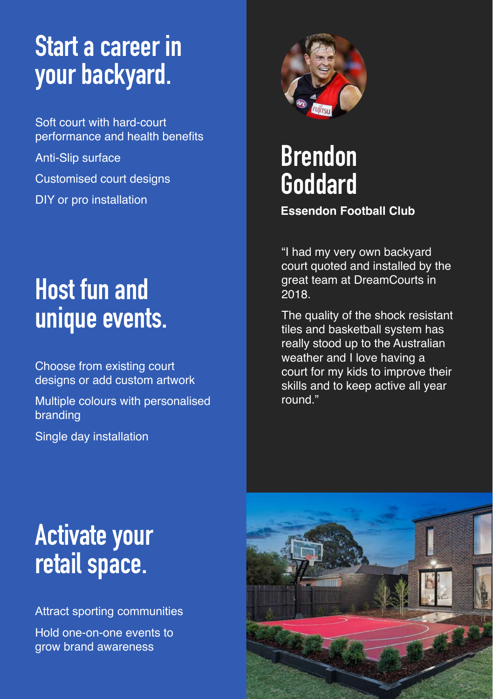### **Start a career in your backyard.**

Soft court with hard-court performance and health benefits Anti-Slip surface Customised court designs DIY or pro installation

### **Host fun and unique events.**

Choose from existing court designs or add custom artwork

Multiple colours with personalised branding

Single day installation



# **Brendon Goddard**

#### **Essendon Football Club**

"I had my very own backyard court quoted and installed by the great team at DreamCourts in 2018.

The quality of the shock resistant tiles and basketball system has really stood up to the Australian weather and I love having a court for my kids to improve their skills and to keep active all year round."

### **Activate your retail space.**

Attract sporting communities Hold one-on-one events to grow brand awareness

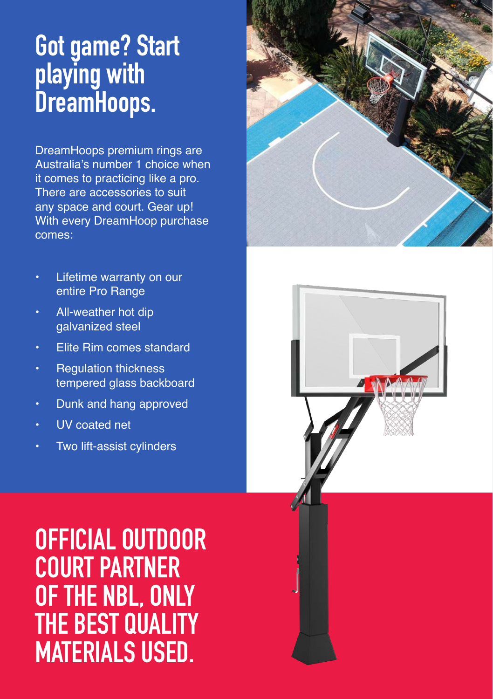### **Got game? Start playing with DreamHoops.**

DreamHoops premium rings are Australia's number 1 choice when it comes to practicing like a pro. There are accessories to suit any space and court. Gear up! With every DreamHoop purchase comes:

- Lifetime warranty on our entire Pro Range
- All-weather hot dip galvanized steel
- Elite Rim comes standard
- **Regulation thickness** tempered glass backboard
- Dunk and hang approved
- UV coated net
- Two lift-assist cylinders





**OFFICIAL OUTDOOR COURT PARTNER OF THE NBL, ONLY THE BEST QUALITY MATERIALS USED.**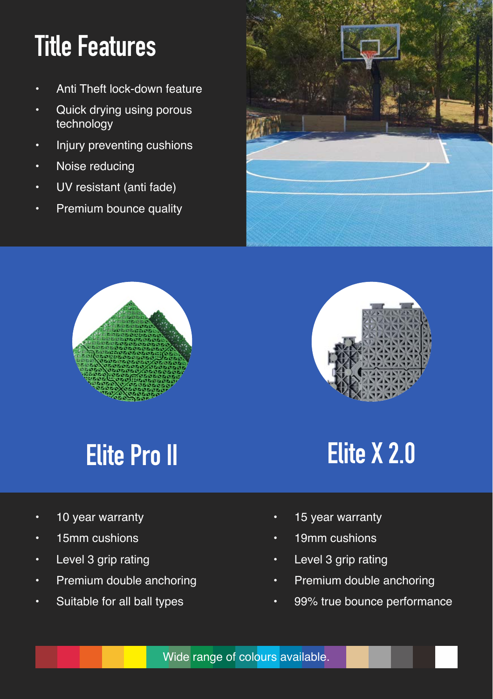# **Title Features**

- Anti Theft lock-down feature
- Quick drying using porous technology
- Injury preventing cushions
- Noise reducing
- UV resistant (anti fade)
- Premium bounce quality







# **Elite Pro II**

- 10 year warranty
- 15mm cushions
- Level 3 grip rating
- **Premium double anchoring**
- Suitable for all ball types

### **Elite X 2.0**

- 15 year warranty
- 19mm cushions
- Level 3 grip rating
- **Premium double anchoring**
- 99% true bounce performance

Wide range of colours available.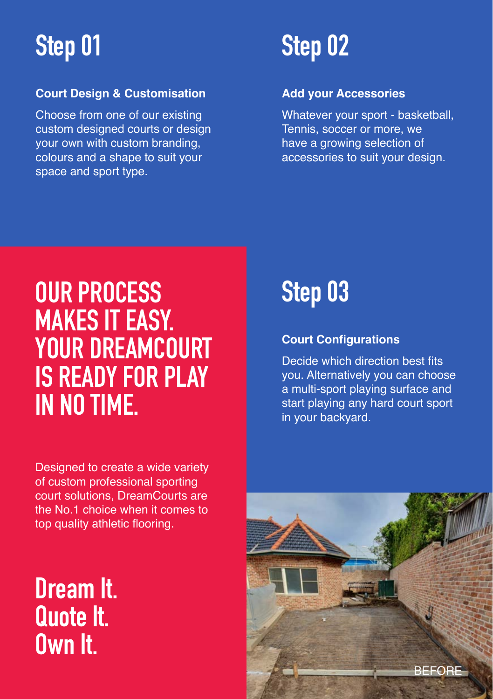# **Step 01**

#### **Court Design & Customisation**

Choose from one of our existing custom designed courts or design your own with custom branding, colours and a shape to suit your space and sport type.

# **Step 02**

#### **Add your Accessories**

Whatever your sport - basketball, Tennis, soccer or more, we have a growing selection of accessories to suit your design.

### **OUR PROCESS MAKES IT EASY. YOUR DREAMCOURT IS READY FOR PLAY IN NO TIME.**

Designed to create a wide variety of custom professional sporting court solutions, DreamCourts are the No.1 choice when it comes to top quality athletic flooring.

**Dream It. Quote It. Own It.**

**Step 03**

#### **Court Configurations**

Decide which direction best fits you. Alternatively you can choose a multi-sport playing surface and start playing any hard court sport in your backyard.

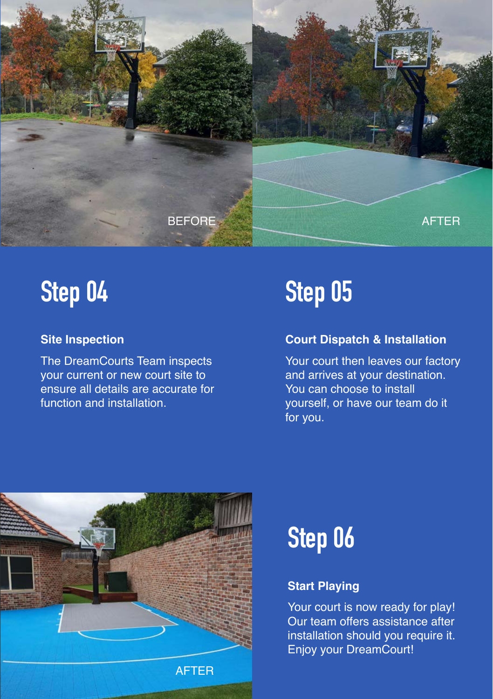

# **Step 04**

#### **Site Inspection**

The DreamCourts Team inspects your current or new court site to ensure all details are accurate for function and installation.

# **Step 05**

#### **Court Dispatch & Installation**

Your court then leaves our factory and arrives at your destination. You can choose to install yourself, or have our team do it for you.



# **Step 06**

#### **Start Playing**

Your court is now ready for play! Our team offers assistance after installation should you require it. Enjoy your DreamCourt!